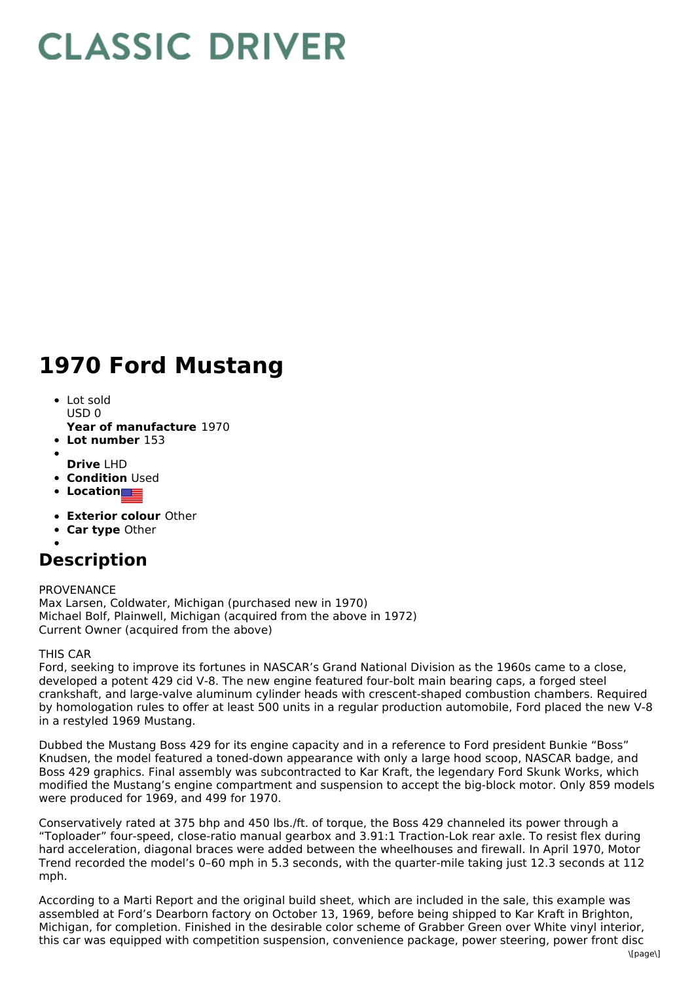## **CLASSIC DRIVER**

## **1970 Ford Mustang**

- Lot sold  $USDO$
- **Year of manufacture** 1970
- **Lot number** 153
- 
- **Drive** LHD **• Condition Used**
- 
- **Location**
- **Exterior colour** Other
- **Car type** Other
- 

## **Description**

PROVENANCE Max Larsen, Coldwater, Michigan (purchased new in 1970) Michael Bolf, Plainwell, Michigan (acquired from the above in 1972) Current Owner (acquired from the above)

## THIS CAR

Ford, seeking to improve its fortunes in NASCAR's Grand National Division as the 1960s came to a close, developed a potent 429 cid V-8. The new engine featured four-bolt main bearing caps, a forged steel crankshaft, and large-valve aluminum cylinder heads with crescent-shaped combustion chambers. Required by homologation rules to offer at least 500 units in a regular production automobile, Ford placed the new V-8 in a restyled 1969 Mustang.

Dubbed the Mustang Boss 429 for its engine capacity and in a reference to Ford president Bunkie "Boss" Knudsen, the model featured a toned-down appearance with only a large hood scoop, NASCAR badge, and Boss 429 graphics. Final assembly was subcontracted to Kar Kraft, the legendary Ford Skunk Works, which modified the Mustang's engine compartment and suspension to accept the big-block motor. Only 859 models were produced for 1969, and 499 for 1970.

Conservatively rated at 375 bhp and 450 lbs./ft. of torque, the Boss 429 channeled its power through a "Toploader" four-speed, close-ratio manual gearbox and 3.91:1 Traction-Lok rear axle. To resist flex during hard acceleration, diagonal braces were added between the wheelhouses and firewall. In April 1970, Motor Trend recorded the model's 0–60 mph in 5.3 seconds, with the quarter-mile taking just 12.3 seconds at 112 mph.

According to a Marti Report and the original build sheet, which are included in the sale, this example was assembled at Ford's Dearborn factory on October 13, 1969, before being shipped to Kar Kraft in Brighton, Michigan, for completion. Finished in the desirable color scheme of Grabber Green over White vinyl interior, this car was equipped with competition suspension, convenience package, power steering, power front disc